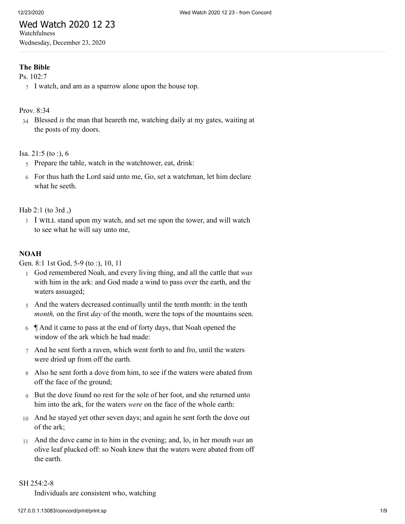## Wed Watch 2020 12 23 Watchfulness

Wednesday, December 23, 2020

# **The Bible**

[Ps. 102:7](http://www.concordworks.com/citation/Ps.%20102:7)

7 I watch, and am as a sparrow alone upon the house top.

# [Prov. 8:34](http://www.concordworks.com/citation/Prov.%208:34)

34 Blessed *is* the man that heareth me, watching daily at my gates, waiting at the posts of my doors.

[Isa. 21:5 \(to :\), 6](http://www.concordworks.com/citation/Isa.%2021:5%20(to%20:),%206)

- 5 Prepare the table, watch in the watchtower, eat, drink:
- 6 For thus hath the Lord said unto me, Go, set a watchman, let him declare what he seeth.

[Hab 2:1 \(to 3rd ,\)](http://www.concordworks.com/citation/Hab%202:1%20(to%203rd%20,))

1 I WILL stand upon my watch, and set me upon the tower, and will watch to see what he will say unto me,

#### **NOAH**

[Gen. 8:1 1st God, 5-9 \(to :\), 10, 11](http://www.concordworks.com/citation/Gen.%208:1%201st%20God,%205-9%20(to%20:),%2010,%2011)

- 1 God remembered Noah, and every living thing, and all the cattle that *was* with him in the ark: and God made a wind to pass over the earth, and the waters assuaged;
- 5 And the waters decreased continually until the tenth month: in the tenth *month,* on the first *day* of the month, were the tops of the mountains seen.
- 6  $\parallel$  And it came to pass at the end of forty days, that Noah opened the window of the ark which he had made:
- 7 And he sent forth a raven, which went forth to and fro, until the waters were dried up from off the earth.
- 8 Also he sent forth a dove from him, to see if the waters were abated from off the face of the ground;
- 9 But the dove found no rest for the sole of her foot, and she returned unto him into the ark, for the waters *were* on the face of the whole earth:
- 10 And he stayed yet other seven days; and again he sent forth the dove out of the ark;
- 11 And the dove came in to him in the evening; and, lo, in her mouth *was* an olive leaf plucked off: so Noah knew that the waters were abated from off the earth.

#### [SH 254:2-8](http://www.concordworks.com/citation/SH%20254:2-8)

Individuals are consistent who, watching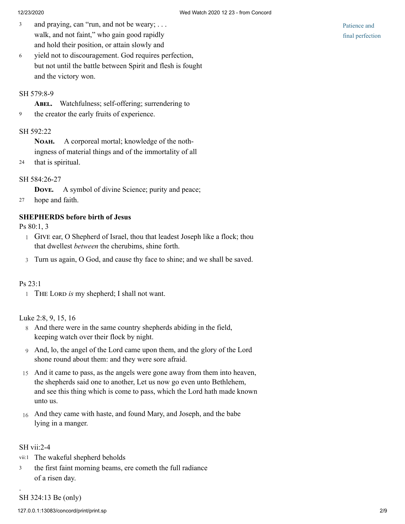- and praying, can "run, and not be weary; . . . walk, and not faint," who gain good rapidly and hold their position, or attain slowly and 3
- yield not to discouragement. God requires perfection, but not until the battle between Spirit and flesh is fought and the victory won. 6

## [SH 579:8-9](http://www.concordworks.com/citation/SH%20579:8-9)

ABEL. Watchfulness; self-offering; surrendering to

9 the creator the early fruits of experience.

# [SH 592:22](http://www.concordworks.com/citation/SH%20592:22)

Nолн. A corporeal mortal; knowledge of the nothingness of material things and of the immortality of all

24 that is spiritual.

# [SH 584:26-27](http://www.concordworks.com/citation/SH%20584:26-27)

**DOVE.** A symbol of divine Science; purity and peace;

27 hope and faith.

# **SHEPHERDS before birth of Jesus**

[Ps 80:1, 3](http://www.concordworks.com/citation/Ps%2080:1,%203)

- 1 GIVE ear, O Shepherd of Israel, thou that leadest Joseph like a flock; thou that dwellest *between* the cherubims, shine forth.
- 3 Turn us again, O God, and cause thy face to shine; and we shall be saved.

# [Ps 23:1](http://www.concordworks.com/citation/Ps%2023:1)

1 THE LORD is my shepherd; I shall not want.

# [Luke 2:8, 9, 15, 16](http://www.concordworks.com/citation/Luke%202:8,%209,%2015,%2016)

- 8 And there were in the same country shepherds abiding in the field, keeping watch over their flock by night.
- 9 And, lo, the angel of the Lord came upon them, and the glory of the Lord shone round about them: and they were sore afraid.
- 15 And it came to pass, as the angels were gone away from them into heaven, the shepherds said one to another, Let us now go even unto Bethlehem, and see this thing which is come to pass, which the Lord hath made known unto us.
- 16 And they came with haste, and found Mary, and Joseph, and the babe lying in a manger.

# [SH vii:2-4](http://www.concordworks.com/citation/SH%20vii:2-4)

.

- vii:1 The wakeful shepherd beholds
- the first faint morning beams, ere cometh the full radiance of a risen day. 3

[SH 324:13 Be \(only\)](http://www.concordworks.com/citation/SH%20324:13%20Be%20(only))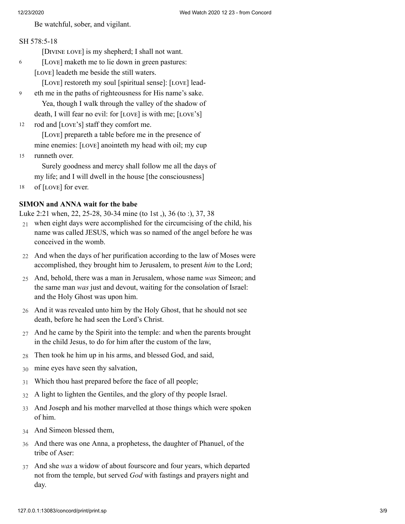6

Be watchful, sober, and vigilant.

# [SH 578:5-18](http://www.concordworks.com/citation/SH%20578:5-18)

[DIVINE LOVE] is my shepherd; I shall not want.

- [Love] maketh me to lie down in green pastures:
- [LOVE] leadeth me beside the still waters.

[Love] restoreth my soul [spiritual sense]: [LOVE] lead-

- eth me in the paths of righteousness for His name's sake. Yea, though I walk through the valley of the shadow of death, I will fear no evil: for  $[LOVE]$  is with me;  $[LOVE'S]$ 9
- rod and [LOVE'S] staff they comfort me. 12

[Love] prepareth a table before me in the presence of mine enemies: [LOVE] anointeth my head with oil; my cup

runneth over. Surely goodness and mercy shall follow me all the days of my life; and I will dwell in the house [the consciousness] 15

of [LOVE] for ever. 18

# **SIMON and ANNA wait for the babe**

[Luke 2:21 when, 22, 25-28, 30-34 mine \(to 1st ,\), 36 \(to :\), 37, 38](http://www.concordworks.com/citation/Luke%202:21%20when,%2022,%2025-28,%2030-34%20mine%20(to%201st%20,),%2036%20(to%20:),%2037,%2038)

- $21$  when eight days were accomplished for the circumcising of the child, his name was called JESUS, which was so named of the angel before he was conceived in the womb.
- 22 And when the days of her purification according to the law of Moses were accomplished, they brought him to Jerusalem, to present *him* to the Lord;
- 25 And, behold, there was a man in Jerusalem, whose name *was* Simeon; and the same man *was* just and devout, waiting for the consolation of Israel: and the Holy Ghost was upon him.
- 26 And it was revealed unto him by the Holy Ghost, that he should not see death, before he had seen the Lord's Christ.
- 27 And he came by the Spirit into the temple: and when the parents brought in the child Jesus, to do for him after the custom of the law,
- 28 Then took he him up in his arms, and blessed God, and said,
- 30 mine eyes have seen thy salvation,
- 31 Which thou hast prepared before the face of all people;
- 32 A light to lighten the Gentiles, and the glory of thy people Israel.
- 33 And Joseph and his mother marvelled at those things which were spoken of him.
- 34 And Simeon blessed them,
- 36 And there was one Anna, a prophetess, the daughter of Phanuel, of the tribe of Aser:
- 37 And she *was* a widow of about fourscore and four years, which departed not from the temple, but served *God* with fastings and prayers night and day.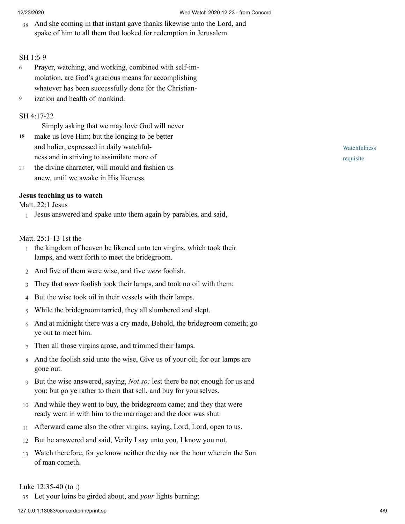38 And she coming in that instant gave thanks likewise unto the Lord, and spake of him to all them that looked for redemption in Jerusalem.

# [SH 1:6-9](http://www.concordworks.com/citation/SH%201:6-9)

- Prayer, watching, and working, combined with self-im‐ molation, are God's gracious means for accomplishing whatever has been successfully done for the Christian-6
- ization and health of mankind. 9

# [SH 4:17-22](http://www.concordworks.com/citation/SH%204:17-22)

Simply asking that we may love God will never

- make us love Him; but the longing to be better and holier, expressed in daily watchful‐ ness and in striving to assimilate more of 18
- the divine character, will mould and fashion us anew, until we awake in His likeness. 21

# **Jesus teaching us to watch**

# [Matt. 22:1 Jesus](http://www.concordworks.com/citation/Matt.%2022:1%20Jesus)

1 Jesus answered and spake unto them again by parables, and said,

# [Matt. 25:1-13 1st the](http://www.concordworks.com/citation/Matt.%2025:1-13%201st%20the)

- 1 the kingdom of heaven be likened unto ten virgins, which took their lamps, and went forth to meet the bridegroom.
- 2 And five of them were wise, and five *were* foolish.
- 3 They that *were* foolish took their lamps, and took no oil with them:
- 4 But the wise took oil in their vessels with their lamps.
- 5 While the bridegroom tarried, they all slumbered and slept.
- 6 And at midnight there was a cry made, Behold, the bridegroom cometh; go ye out to meet him.
- 7 Then all those virgins arose, and trimmed their lamps.
- 8 And the foolish said unto the wise, Give us of your oil; for our lamps are gone out.
- 9 But the wise answered, saying, *Not so;* lest there be not enough for us and you: but go ye rather to them that sell, and buy for yourselves.
- 10 And while they went to buy, the bridegroom came; and they that were ready went in with him to the marriage: and the door was shut.
- 11 Afterward came also the other virgins, saying, Lord, Lord, open to us.
- 12 But he answered and said, Verily I say unto you, I know you not.
- 13 Watch therefore, for ye know neither the day nor the hour wherein the Son of man cometh.

# [Luke 12:35-40 \(to :\)](http://www.concordworks.com/citation/Luke%2012:35-40%20(to%20:))

35 Let your loins be girded about, and *your* lights burning;

127.0.0.1:13083/concord/print/print.sp 4/9

**Watchfulness** requisite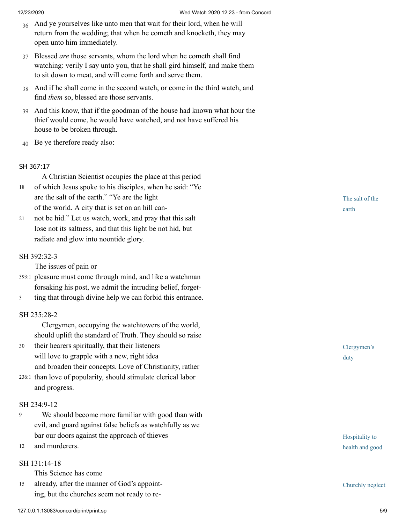- 36 And ye yourselves like unto men that wait for their lord, when he will return from the wedding; that when he cometh and knocketh, they may open unto him immediately.
- 37 Blessed *are* those servants, whom the lord when he cometh shall find watching: verily I say unto you, that he shall gird himself, and make them to sit down to meat, and will come forth and serve them.
- 38 And if he shall come in the second watch, or come in the third watch, and find *them* so, blessed are those servants.
- 39 And this know, that if the goodman of the house had known what hour the thief would come, he would have watched, and not have suffered his house to be broken through.
- 40 Be ye therefore ready also:

## SH [367:17](http://www.concordworks.com/citation/SH%20367:17)

A Christian Scientist occupies the place at this period

- of which Jesus spoke to his disciples, when he said: "Ye are the salt of the earth." "Ye are the light of the world. A city that is set on an hill can‐ 18
- not be hid." Let us watch, work, and pray that this salt lose not its saltness, and that this light be not hid, but radiate and glow into noontide glory. 21

## [SH 392:32-3](http://www.concordworks.com/citation/SH%20392:32-3)

The issues of pain or

- pleasure must come through mind, and like a watchman 393:1 forsaking his post, we admit the intruding belief, forget-
- ting that through divine help we can forbid this entrance. 3

#### [SH 235:28-2](http://www.concordworks.com/citation/SH%20235:28-2)

 Clergymen, occupying the watchtowers of the world, should uplift the standard of Truth. They should so raise

- their hearers spiritually, that their listeners will love to grapple with a new, right idea and broaden their concepts. Love of Christianity, rather 30
- 236:1 than love of popularity, should stimulate clerical labor and progress.

#### [SH 234:9-12](http://www.concordworks.com/citation/SH%20234:9-12)

- We should become more familiar with good than with evil, and guard against false beliefs as watchfully as we bar our doors against the approach of thieves 9
- and murderers. 12

# [SH 131:14-18](http://www.concordworks.com/citation/SH%20131:14-18)

This Science has come

already, after the manner of God's appoint‐ ing, but the churches seem not ready to re‐ 15

The salt of the earth

Clergymen's duty

Hospitality to health and good

Churchly neglect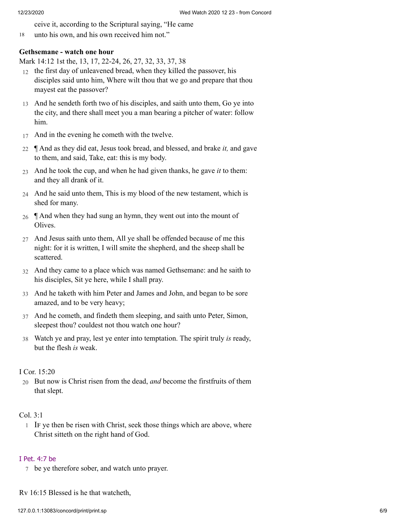ceive it, according to the Scriptural saying, "He came

18 unto his own, and his own received him not."

# **Gethsemane - watch one hour**

[Mark 14:12 1st the, 13, 17, 22-24, 26, 27, 32, 33, 37, 38](http://www.concordworks.com/citation/Mark%2014:12%201st%20the,%2013,%2017,%2022-24,%2026,%2027,%2032,%2033,%2037,%2038)

- 12 the first day of unleavened bread, when they killed the passover, his disciples said unto him, Where wilt thou that we go and prepare that thou mayest eat the passover?
- 13 And he sendeth forth two of his disciples, and saith unto them, Go ye into the city, and there shall meet you a man bearing a pitcher of water: follow him.
- 17 And in the evening he cometh with the twelve.
- 22 ¶ And as they did eat, Jesus took bread, and blessed, and brake *it,* and gave to them, and said, Take, eat: this is my body.
- 23 And he took the cup, and when he had given thanks, he gave *it* to them: and they all drank of it.
- 24 And he said unto them, This is my blood of the new testament, which is shed for many.
- 26  $\parallel$  And when they had sung an hymn, they went out into the mount of Olives.
- 27 And Jesus saith unto them, All ye shall be offended because of me this night: for it is written, I will smite the shepherd, and the sheep shall be scattered.
- 32 And they came to a place which was named Gethsemane: and he saith to his disciples, Sit ye here, while I shall pray.
- 33 And he taketh with him Peter and James and John, and began to be sore amazed, and to be very heavy;
- 37 And he cometh, and findeth them sleeping, and saith unto Peter, Simon, sleepest thou? couldest not thou watch one hour?
- 38 Watch ye and pray, lest ye enter into temptation. The spirit truly *is* ready, but the flesh *is* weak.

# [I Cor. 15:20](http://www.concordworks.com/citation/I%20Cor.%2015:20)

20 But now is Christ risen from the dead, *and* become the firstfruits of them that slept.

# [Col. 3:1](http://www.concordworks.com/citation/Col.%203:1)

1 IF ye then be risen with Christ, seek those things which are above, where Christ sitteth on the right hand of God.

# I [Pet.](http://www.concordworks.com/citation/I%20Pet.%204:7%20be) 4:7 be

7 be ye therefore sober, and watch unto prayer.

Rv 16:15 Blessed is he that watcheth,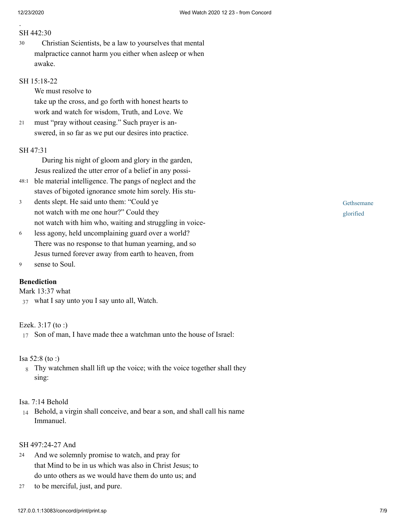.

## [SH 442:30](http://www.concordworks.com/citation/SH%20442:30)

 Christian Scientists, be a law to yourselves that mental malpractice cannot harm you either when asleep or when awake. 30

# [SH 15:18-22](http://www.concordworks.com/citation/SH%2015:18-22)

We must resolve to

take up the cross, and go forth with honest hearts to work and watch for wisdom, Truth, and Love. We

must "pray without ceasing." Such prayer is an‐ swered, in so far as we put our desires into practice. 21

#### [SH 47:31](http://www.concordworks.com/citation/SH%2047:31)

 During his night of gloom and glory in the garden, Jesus realized the utter error of a belief in any possi‐

- ble material intelligence. The pangs of neglect and the 48:1 staves of bigoted ignorance smote him sorely. His stu‐
- dents slept. He said unto them: "Could ye not watch with me one hour?" Could they not watch with him who, waiting and struggling in voice‐ 3
- less agony, held uncomplaining guard over a world? There was no response to that human yearning, and so Jesus turned forever away from earth to heaven, from 6
- sense to Soul. 9

# **Benediction**

[Mark 13:37 what](http://www.concordworks.com/citation/Mark%2013:37%20what)

37 what I say unto you I say unto all, Watch.

# [Ezek. 3:17 \(to :\)](http://www.concordworks.com/citation/Ezek.%203:17%20(to%20:))

17 Son of man, I have made thee a watchman unto the house of Israel:

## [Isa 52:8 \(to :\)](http://www.concordworks.com/citation/Isa%2052:8%20(to%20:))

8 Thy watchmen shall lift up the voice; with the voice together shall they sing:

#### [Isa. 7:14 Behold](http://www.concordworks.com/citation/Isa.%207:14%20Behold)

14 Behold, a virgin shall conceive, and bear a son, and shall call his name Immanuel.

# [SH 497:24-27 And](http://www.concordworks.com/citation/SH%20497:24-27%20And)

- And we solemnly promise to watch, and pray for that Mind to be in us which was also in Christ Jesus; to do unto others as we would have them do unto us; and 24
- to be merciful, just, and pure. 27

Gethsemane glorified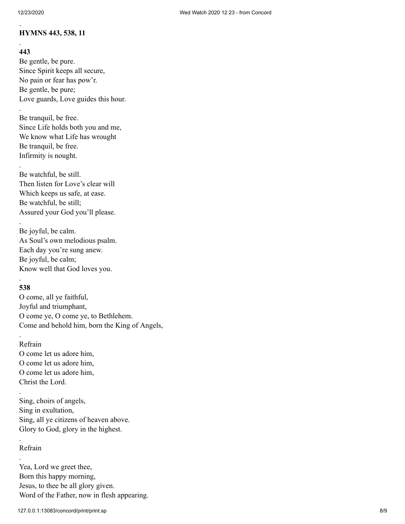# **HYMNS 443, 538, 11**

# **443**

.

.

.

.

.

Be gentle, be pure. Since Spirit keeps all secure, No pain or fear has pow'r. Be gentle, be pure; Love guards, Love guides this hour.

Be tranquil, be free. Since Life holds both you and me, We know what Life has wrought Be tranquil, be free. Infirmity is nought.

Be watchful, be still. Then listen for Love's clear will Which keeps us safe, at ease. Be watchful, be still; Assured your God you'll please.

Be joyful, be calm. As Soul's own melodious psalm. Each day you're sung anew. Be joyful, be calm; Know well that God loves you.

# . **538**

O come, all ye faithful, Joyful and triumphant, O come ye, O come ye, to Bethlehem. Come and behold him, born the King of Angels,

# Refrain

.

.

.

.

O come let us adore him, O come let us adore him, O come let us adore him, Christ the Lord.

Sing, choirs of angels, Sing in exultation, Sing, all ye citizens of heaven above. Glory to God, glory in the highest.

# Refrain

Yea, Lord we greet thee, Born this happy morning, Jesus, to thee be all glory given. Word of the Father, now in flesh appearing.